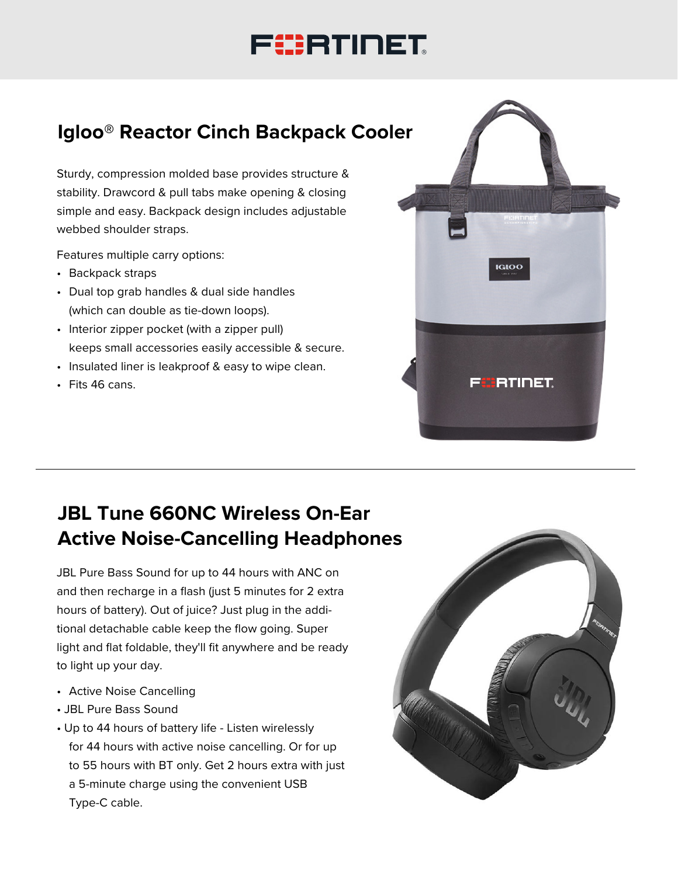# FURTINET

## **Igloo® Reactor Cinch Backpack Cooler**

Sturdy, compression molded base provides structure & stability. Drawcord & pull tabs make opening & closing simple and easy. Backpack design includes adjustable webbed shoulder straps.

Features multiple carry options:

- Backpack straps
- Dual top grab handles & dual side handles (which can double as tie-down loops).
- Interior zipper pocket (with a zipper pull) keeps small accessories easily accessible & secure.
- Insulated liner is leakproof & easy to wipe clean.
- Fits 46 cans.



## **JBL Tune 660NC Wireless On-Ear Active Noise-Cancelling Headphones**

JBL Pure Bass Sound for up to 44 hours with ANC on and then recharge in a flash (just 5 minutes for 2 extra hours of battery). Out of juice? Just plug in the additional detachable cable keep the flow going. Super light and flat foldable, they'll fit anywhere and be ready to light up your day.

- Active Noise Cancelling
- JBL Pure Bass Sound
- Up to 44 hours of battery life Listen wirelessly for 44 hours with active noise cancelling. Or for up to 55 hours with BT only. Get 2 hours extra with just a 5-minute charge using the convenient USB Type-C cable.